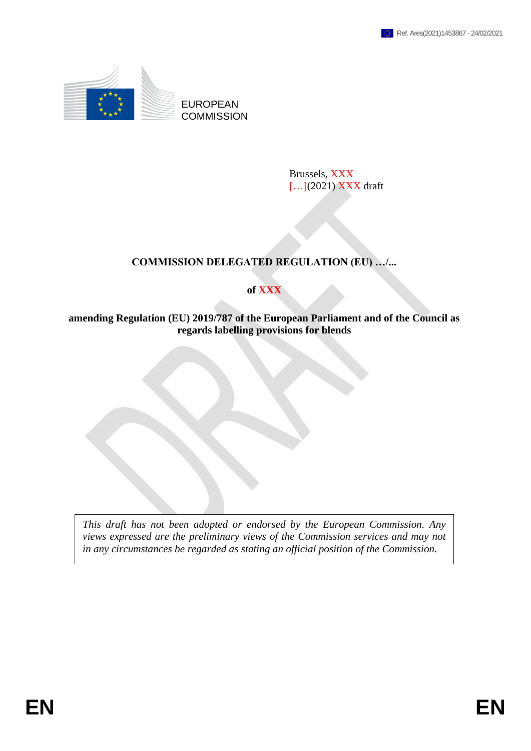

Brussels, XXX [...](2021) **XXX** draft

# **COMMISSION DELEGATED REGULATION (EU) …/...**

## **of XXX**

**amending Regulation (EU) 2019/787 of the European Parliament and of the Council as regards labelling provisions for blends**

*This draft has not been adopted or endorsed by the European Commission. Any views expressed are the preliminary views of the Commission services and may not in any circumstances be regarded as stating an official position of the Commission.*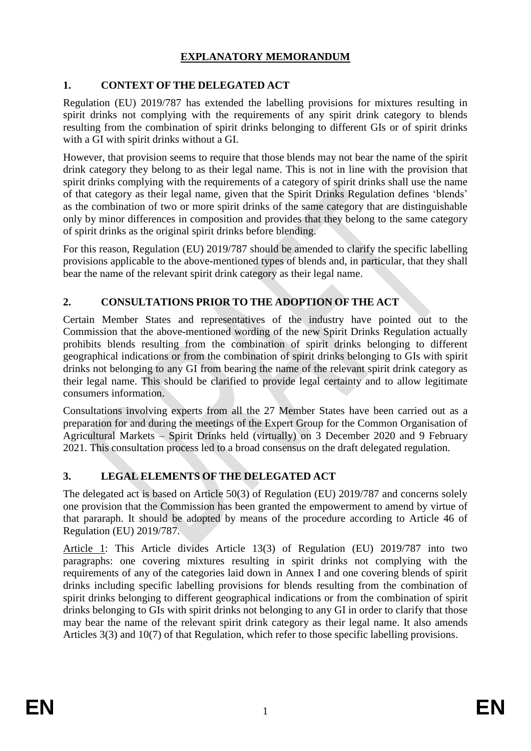# **EXPLANATORY MEMORANDUM**

# **1. CONTEXT OF THE DELEGATED ACT**

Regulation (EU) 2019/787 has extended the labelling provisions for mixtures resulting in spirit drinks not complying with the requirements of any spirit drink category to blends resulting from the combination of spirit drinks belonging to different GIs or of spirit drinks with a GI with spirit drinks without a GI.

However, that provision seems to require that those blends may not bear the name of the spirit drink category they belong to as their legal name. This is not in line with the provision that spirit drinks complying with the requirements of a category of spirit drinks shall use the name of that category as their legal name, given that the Spirit Drinks Regulation defines 'blends' as the combination of two or more spirit drinks of the same category that are distinguishable only by minor differences in composition and provides that they belong to the same category of spirit drinks as the original spirit drinks before blending.

For this reason, Regulation (EU) 2019/787 should be amended to clarify the specific labelling provisions applicable to the above-mentioned types of blends and, in particular, that they shall bear the name of the relevant spirit drink category as their legal name.

# **2. CONSULTATIONS PRIOR TO THE ADOPTION OF THE ACT**

Certain Member States and representatives of the industry have pointed out to the Commission that the above-mentioned wording of the new Spirit Drinks Regulation actually prohibits blends resulting from the combination of spirit drinks belonging to different geographical indications or from the combination of spirit drinks belonging to GIs with spirit drinks not belonging to any GI from bearing the name of the relevant spirit drink category as their legal name. This should be clarified to provide legal certainty and to allow legitimate consumers information.

Consultations involving experts from all the 27 Member States have been carried out as a preparation for and during the meetings of the Expert Group for the Common Organisation of Agricultural Markets – Spirit Drinks held (virtually) on 3 December 2020 and 9 February 2021. This consultation process led to a broad consensus on the draft delegated regulation.

# **3. LEGAL ELEMENTS OF THE DELEGATED ACT**

The delegated act is based on Article 50(3) of Regulation (EU) 2019/787 and concerns solely one provision that the Commission has been granted the empowerment to amend by virtue of that pararaph. It should be adopted by means of the procedure according to Article 46 of Regulation (EU) 2019/787.

Article 1: This Article divides Article 13(3) of Regulation (EU) 2019/787 into two paragraphs: one covering mixtures resulting in spirit drinks not complying with the requirements of any of the categories laid down in Annex I and one covering blends of spirit drinks including specific labelling provisions for blends resulting from the combination of spirit drinks belonging to different geographical indications or from the combination of spirit drinks belonging to GIs with spirit drinks not belonging to any GI in order to clarify that those may bear the name of the relevant spirit drink category as their legal name. It also amends Articles 3(3) and 10(7) of that Regulation, which refer to those specific labelling provisions.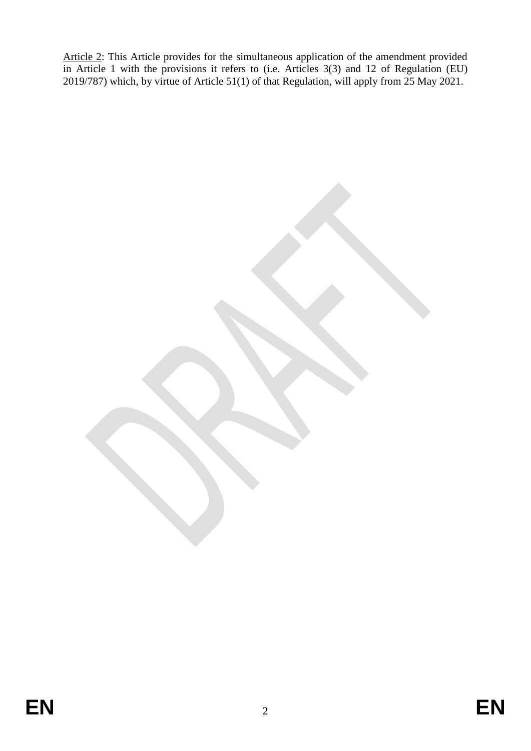Article 2: This Article provides for the simultaneous application of the amendment provided in Article 1 with the provisions it refers to (i.e. Articles 3(3) and 12 of Regulation (EU) 2019/787) which, by virtue of Article 51(1) of that Regulation, will apply from 25 May 2021.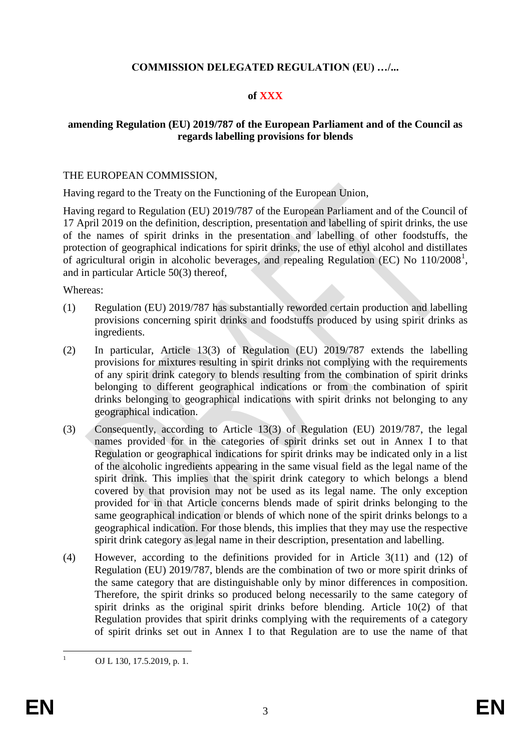### **COMMISSION DELEGATED REGULATION (EU) …/...**

### **of XXX**

#### **amending Regulation (EU) 2019/787 of the European Parliament and of the Council as regards labelling provisions for blends**

#### THE EUROPEAN COMMISSION,

Having regard to the Treaty on the Functioning of the European Union,

Having regard to Regulation (EU) 2019/787 of the European Parliament and of the Council of 17 April 2019 on the definition, description, presentation and labelling of spirit drinks, the use of the names of spirit drinks in the presentation and labelling of other foodstuffs, the protection of geographical indications for spirit drinks, the use of ethyl alcohol and distillates of agricultural origin in alcoholic beverages, and repealing Regulation (EC) No 110/2008<sup>1</sup>, and in particular Article 50(3) thereof,

Whereas:

- (1) Regulation (EU) 2019/787 has substantially reworded certain production and labelling provisions concerning spirit drinks and foodstuffs produced by using spirit drinks as ingredients.
- (2) In particular, Article 13(3) of Regulation (EU) 2019/787 extends the labelling provisions for mixtures resulting in spirit drinks not complying with the requirements of any spirit drink category to blends resulting from the combination of spirit drinks belonging to different geographical indications or from the combination of spirit drinks belonging to geographical indications with spirit drinks not belonging to any geographical indication.
- (3) Consequently, according to Article 13(3) of Regulation (EU) 2019/787, the legal names provided for in the categories of spirit drinks set out in Annex I to that Regulation or geographical indications for spirit drinks may be indicated only in a list of the alcoholic ingredients appearing in the same visual field as the legal name of the spirit drink. This implies that the spirit drink category to which belongs a blend covered by that provision may not be used as its legal name. The only exception provided for in that Article concerns blends made of spirit drinks belonging to the same geographical indication or blends of which none of the spirit drinks belongs to a geographical indication. For those blends, this implies that they may use the respective spirit drink category as legal name in their description, presentation and labelling.
- (4) However, according to the definitions provided for in Article 3(11) and (12) of Regulation (EU) 2019/787, blends are the combination of two or more spirit drinks of the same category that are distinguishable only by minor differences in composition. Therefore, the spirit drinks so produced belong necessarily to the same category of spirit drinks as the original spirit drinks before blending. Article 10(2) of that Regulation provides that spirit drinks complying with the requirements of a category of spirit drinks set out in Annex I to that Regulation are to use the name of that

 $\mathbf{1}$ OJ L 130, 17.5.2019, p. 1.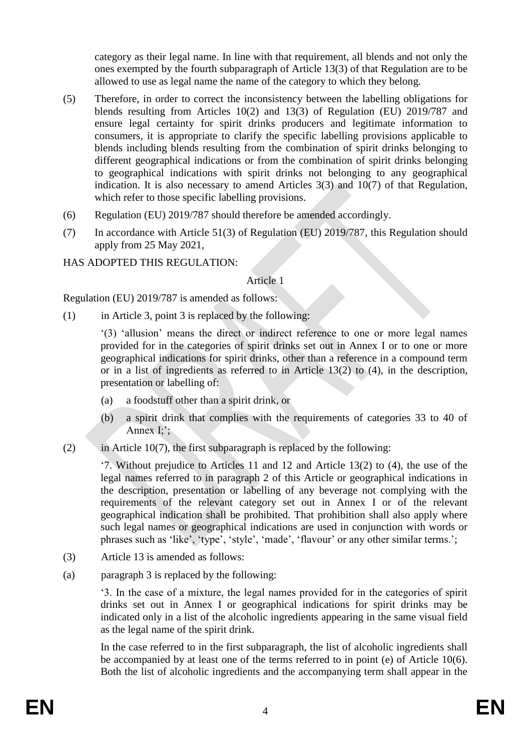category as their legal name. In line with that requirement, all blends and not only the ones exempted by the fourth subparagraph of Article 13(3) of that Regulation are to be allowed to use as legal name the name of the category to which they belong.

- (5) Therefore, in order to correct the inconsistency between the labelling obligations for blends resulting from Articles 10(2) and 13(3) of Regulation (EU) 2019/787 and ensure legal certainty for spirit drinks producers and legitimate information to consumers, it is appropriate to clarify the specific labelling provisions applicable to blends including blends resulting from the combination of spirit drinks belonging to different geographical indications or from the combination of spirit drinks belonging to geographical indications with spirit drinks not belonging to any geographical indication. It is also necessary to amend Articles 3(3) and 10(7) of that Regulation, which refer to those specific labelling provisions.
- (6) Regulation (EU) 2019/787 should therefore be amended accordingly.
- (7) In accordance with Article 51(3) of Regulation (EU) 2019/787, this Regulation should apply from 25 May 2021,

## HAS ADOPTED THIS REGULATION:

#### Article 1

Regulation (EU) 2019/787 is amended as follows:

(1) in Article 3, point 3 is replaced by the following:

'(3) 'allusion' means the direct or indirect reference to one or more legal names provided for in the categories of spirit drinks set out in Annex I or to one or more geographical indications for spirit drinks, other than a reference in a compound term or in a list of ingredients as referred to in Article 13(2) to (4), in the description, presentation or labelling of:

- (a) a foodstuff other than a spirit drink, or
- (b) a spirit drink that complies with the requirements of categories 33 to 40 of Annex I;';
- (2) in Article 10(7), the first subparagraph is replaced by the following:

'7. Without prejudice to Articles 11 and 12 and Article 13(2) to (4), the use of the legal names referred to in paragraph 2 of this Article or geographical indications in the description, presentation or labelling of any beverage not complying with the requirements of the relevant category set out in Annex I or of the relevant geographical indication shall be prohibited. That prohibition shall also apply where such legal names or geographical indications are used in conjunction with words or phrases such as 'like', 'type', 'style', 'made', 'flavour' or any other similar terms.';

- (3) Article 13 is amended as follows:
- (a) paragraph 3 is replaced by the following:

'3. In the case of a mixture, the legal names provided for in the categories of spirit drinks set out in Annex I or geographical indications for spirit drinks may be indicated only in a list of the alcoholic ingredients appearing in the same visual field as the legal name of the spirit drink.

In the case referred to in the first subparagraph, the list of alcoholic ingredients shall be accompanied by at least one of the terms referred to in point (e) of Article 10(6). Both the list of alcoholic ingredients and the accompanying term shall appear in the